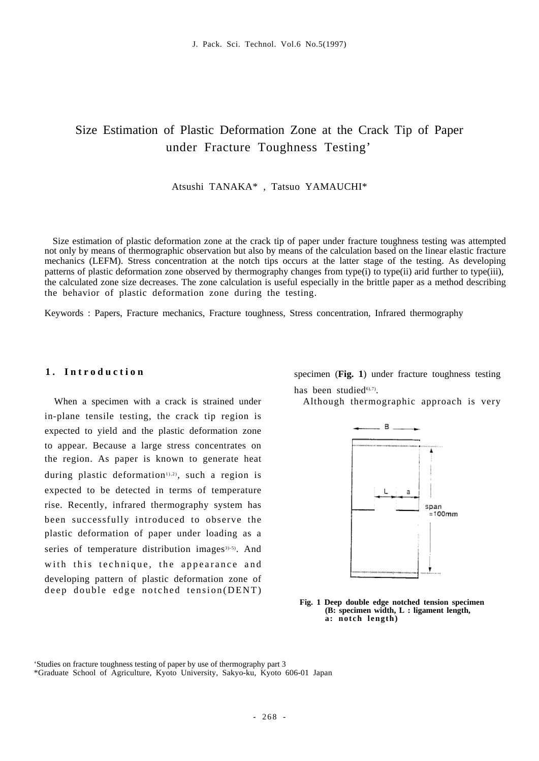# Size Estimation of Plastic Deformation Zone at the Crack Tip of Paper under Fracture Toughness Testing'

#### Atsushi TANAKA\* , Tatsuo YAMAUCHI\*

Size estimation of plastic deformation zone at the crack tip of paper under fracture toughness testing was attempted not only by means of thermographic observation but also by means of the calculation based on the linear elastic fracture mechanics (LEFM). Stress concentration at the notch tips occurs at the latter stage of the testing. As developing patterns of plastic deformation zone observed by thermography changes from type(i) to type(ii) arid further to type(iii), the calculated zone size decreases. The zone calculation is useful especially in the brittle paper as a method describing the behavior of plastic deformation zone during the testing.

Keywords : Papers, Fracture mechanics, Fracture toughness, Stress concentration, Infrared thermography

#### **1 . I n t r o d u c t i o n**

When a specimen with a crack is strained under in-plane tensile testing, the crack tip region is expected to yield and the plastic deformation zone to appear. Because a large stress concentrates on the region. As paper is known to generate heat during plastic deformation<sup>1),2)</sup>, such a region is expected to be detected in terms of temperature rise. Recently, infrared thermography system has been successfully introduced to observe the plastic deformation of paper under loading as a series of temperature distribution images $3)$ -5). And with this technique, the appearance and developing pattern of plastic deformation zone of deep double edge notched tension(DENT)

specimen (**Fig. 1**) under fracture toughness testing has been studied $60,7$ ).

Although thermographic approach is very



**Fig. 1 Deep double edge notched tension specimen (B: specimen width, L : ligament length, a: notch length)** 

<sup>&#</sup>x27;Studies on fracture toughness testing of paper by use of thermography part 3

<sup>\*</sup>Graduate School of Agriculture, Kyoto University, Sakyo-ku, Kyoto 606-01 Japan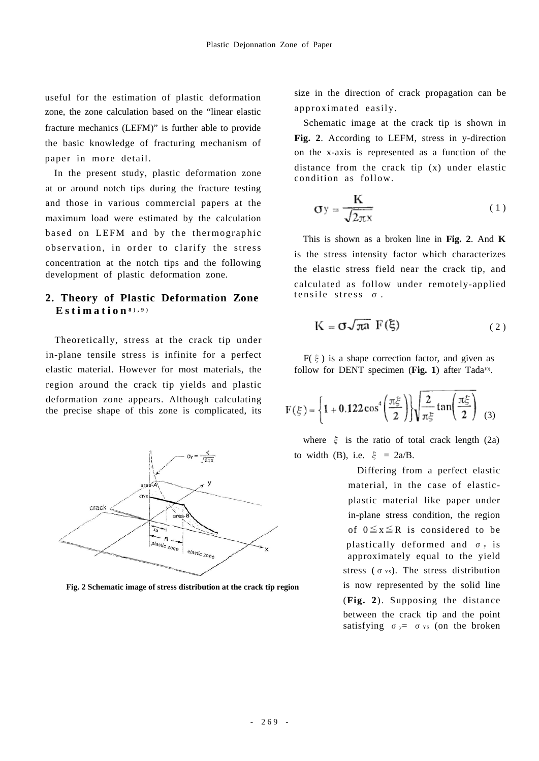useful for the estimation of plastic deformation zone, the zone calculation based on the "linear elastic fracture mechanics (LEFM)" is further able to provide the basic knowledge of fracturing mechanism of paper in more detail.

In the present study, plastic deformation zone at or around notch tips during the fracture testing and those in various commercial papers at the maximum load were estimated by the calculation based on LEFM and by the thermographic observation, in order to clarify the stress concentration at the notch tips and the following development of plastic deformation zone.

## **2. Theory of Plastic Deformation Zone Estimation 8),9)**

Theoretically, stress at the crack tip under in-plane tensile stress is infinite for a perfect elastic material. However for most materials, the region around the crack tip yields and plastic deformation zone appears. Although calculating the precise shape of this zone is complicated, its



**Fig. 2 Schematic image of stress distribution at the crack tip region**

size in the direction of crack propagation can be approximated easily.

Schematic image at the crack tip is shown in **Fig. 2**. According to LEFM, stress in y-direction on the x-axis is represented as a function of the distance from the crack tip (x) under elastic condition as follow.

$$
\sigma y = \frac{K}{\sqrt{2\pi x}}
$$
 (1)

This is shown as a broken line in **Fig. 2**. And **K** is the stress intensity factor which characterizes the elastic stress field near the crack tip, and calculated as follow under remotely-applied tensile stress σ.

$$
K = \sigma \sqrt{\pi a} F(\xi) \tag{2}
$$

 $F(\xi)$  is a shape correction factor, and given as follow for DENT specimen (Fig. 1) after Tada<sup>10)</sup>.

$$
F(\xi)=\left\{1+0.122\cos^4\!\left(\frac{\pi\xi}{2}\right)\right\}\!\sqrt{\frac{2}{\pi\xi}\tan\!\left(\frac{\pi\xi}{2}\right)}\ \ \, (3)
$$

where  $\xi$  is the ratio of total crack length (2a) to width (B), i.e.  $\xi = 2a/B$ .

> Differing from a perfect elastic material, in the case of elasticplastic material like paper under in-plane stress condition, the region of  $0 \le x \le R$  is considered to be plastically deformed and  $\sigma_y$  is approximately equal to the yield stress ( $\sigma$  vs). The stress distribution is now represented by the solid line (**Fig. 2**). Supposing the distance between the crack tip and the point satisfying  $\sigma_y = \sigma_{ys}$  (on the broken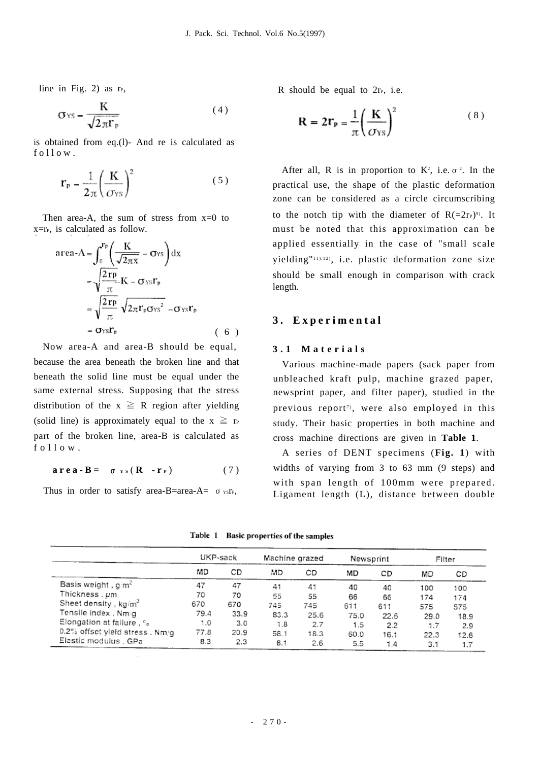line in Fig. 2) as  $r_{P}$ ,

$$
\sigma_{YS} = \frac{K}{\sqrt{2\pi}\Gamma_P} \tag{4}
$$

is obtained from eq.(l)- And re is calculated as  $f \circ 11 \circ w$ .

$$
\mathbf{r}_{\mathbf{p}} = \frac{1}{2\pi} \left(\frac{\mathbf{K}}{C_{\text{YS}}}\right)^2 \tag{5}
$$

Then area-A, the sum of stress from  $x=0$  to  $x=r<sub>P</sub>$ , is calculated as follow.

area-A = 
$$
\int_0^{\mathbf{r}_p} \left( \frac{\mathbf{K}}{\sqrt{2\pi x}} - \sigma_{\text{YS}} \right) dx
$$
  
\n= 
$$
\sqrt{\frac{2\mathbf{r}_p}{\pi}} \mathbf{K} - \sigma_{\text{YS}} \mathbf{r}_p
$$
  
\n= 
$$
\sqrt{\frac{2\mathbf{r}_p}{\pi}} \sqrt{2\pi \mathbf{r}_p \sigma_{\text{YS}}^2} - \sigma_{\text{YS}} \mathbf{r}_p
$$
  
\n= 
$$
\sigma_{\text{YS}} \mathbf{r}_p
$$
 (6)

Now area-A and area-B should be equal, because the area beneath the broken line and that beneath the solid line must be equal under the same external stress. Supposing that the stress distribution of the  $x \ge R$  region after yielding (solid line) is approximately equal to the  $x \ge r_P$ part of the broken line, area-B is calculated as  $f \circ 11 \circ w$ 

$$
\mathbf{area} \cdot \mathbf{B} = \sigma_{YS} (\mathbf{R} - \mathbf{r}_P) \tag{7}
$$

Thus in order to satisfy area-B=area-A=  $\sigma$  vsr<sub>P</sub>,

R should be equal to  $2r_{P}$ , i.e.

$$
\mathbf{R} = 2\mathbf{r}_{\mathbf{p}} = \frac{1}{\pi} \left( \frac{\mathbf{K}}{\sigma_{\text{YS}}} \right)^2 \tag{8}
$$

After all, R is in proportion to  $K^2$ , i.e.  $\sigma^2$ . In the practical use, the shape of the plastic deformation zone can be considered as a circle circumscribing to the notch tip with the diameter of  $R(=2r_P)^9$ . It must be noted that this approximation can be applied essentially in the case of "small scale yielding"<sup>11),12)</sup>, i.e. plastic deformation zone size should be small enough in comparison with crack length.

### **3 . E x p e r i m e n t a l**

#### **3 . 1 M a t e r i a l s**

Various machine-made papers (sack paper from unbleached kraft pulp, machine grazed paper, newsprint paper, and filter paper), studied in the previous report<sup>7</sup>, were also employed in this study. Their basic properties in both machine and cross machine directions are given in **Table 1**.

A series of DENT specimens (**Fig. 1**) with widths of varying from 3 to 63 mm (9 steps) and with span length of 100mm were prepared. Ligament length (L), distance between double

|                                  | UKP-sack |      | Machine grazed |      | Newsprint | Filter |      |      |
|----------------------------------|----------|------|----------------|------|-----------|--------|------|------|
|                                  | MD       | CD   | MD             | ĊD   | MD        | CD     | MD   | СD   |
| Basis weight, $q/m^2$            | 47       | 47   | 41             | 41   | 40        | 40     | 100  | 100  |
| Thickness , $\mu$ m              | 70       | 70   | 55             | 55   | 66        | 66     | 174  | 174  |
| Sheet density, kg/m <sup>3</sup> | 670      | 670  | 745            | 745  | 611       | 611    | 575  | 575  |
| Tensile index, Nm/g              | 79.4     | 33.9 | 83.3           | 25.6 | 75.0      | 22.6   | 29.0 | 18.9 |
| Elongation at failure, %         | 1.0      | 3.0  | 1.8            | 2.7  | 1.5       | 2.2    | 1.7  | 2.9  |
| 0.2% offset yield stress . Nm/g  | 77.8     | 20.9 | 58.1           | 18.3 | 60.0      | 16.1   | 22.3 | 12.6 |
| Elastic modulus . GPa            | 8.3      | 2.3  | 8.1            | 2.6  | 5.5       | 1.4    | 3.1  | 1.7  |

Table 1 Basic properties of the samples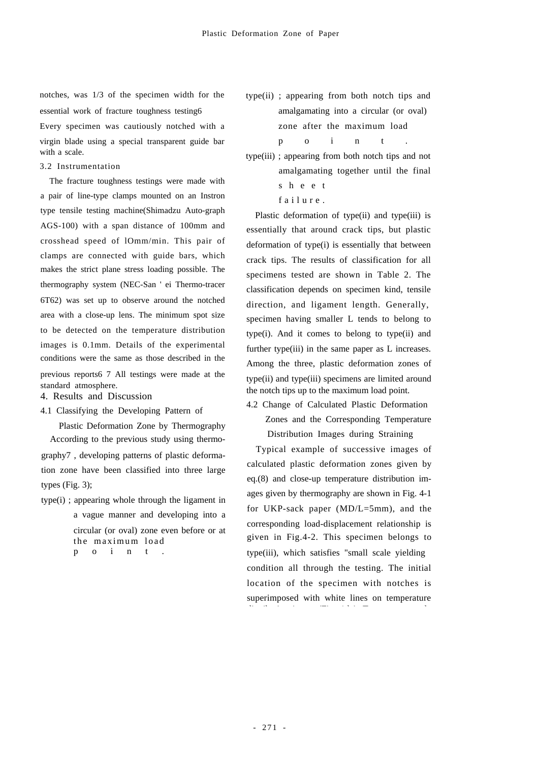notches, was 1/3 of the specimen width for the essential work of fracture toughness testing6 Every specimen was cautiously notched with a

virgin blade using a special transparent guide bar with a scale.

3.2 Instrumentation

The fracture toughness testings were made with a pair of line-type clamps mounted on an Instron type tensile testing machine(Shimadzu Auto-graph AGS-100) with a span distance of 100mm and crosshead speed of lOmm/min. This pair of clamps are connected with guide bars, which makes the strict plane stress loading possible. The thermography system (NEC-San ' ei Thermo-tracer 6T62) was set up to observe around the notched area with a close-up lens. The minimum spot size to be detected on the temperature distribution images is 0.1mm. Details of the experimental conditions were the same as those described in the previous reports6 7 All testings were made at the standard atmosphere.

- 4. Results and Discussion
- 4.1 Classifying the Developing Pattern of

Plastic Deformation Zone by Thermography According to the previous study using thermography7 , developing patterns of plastic deformation zone have been classified into three large types (Fig. 3);

type(i) ; appearing whole through the ligament in a vague manner and developing into a circular (or oval) zone even before or at the maximum load p o i n t

- type(ii) ; appearing from both notch tips and amalgamating into a circular (or oval) zone after the maximum load p o i n t .
- type(iii) ; appearing from both notch tips and not amalgamating together until the final s h e e t

failure.

Plastic deformation of type(ii) and type(iii) is essentially that around crack tips, but plastic deformation of type(i) is essentially that between crack tips. The results of classification for all specimens tested are shown in Table 2. The classification depends on specimen kind, tensile direction, and ligament length. Generally, specimen having smaller L tends to belong to type(i). And it comes to belong to type(ii) and further type(iii) in the same paper as L increases. Among the three, plastic deformation zones of type(ii) and type(iii) specimens are limited around the notch tips up to the maximum load point.

4.2 Change of Calculated Plastic Deformation Zones and the Corresponding Temperature Distribution Images during Straining

Typical example of successive images of calculated plastic deformation zones given by eq.(8) and close-up temperature distribution images given by thermography are shown in Fig. 4-1 for UKP-sack paper (MD/L=5mm), and the corresponding load-displacement relationship is given in Fig.4-2. This specimen belongs to type(iii), which satisfies "small scale yielding condition all through the testing. The initial location of the specimen with notches is superimposed with white lines on temperature di ib i i (Fi 4 l) T l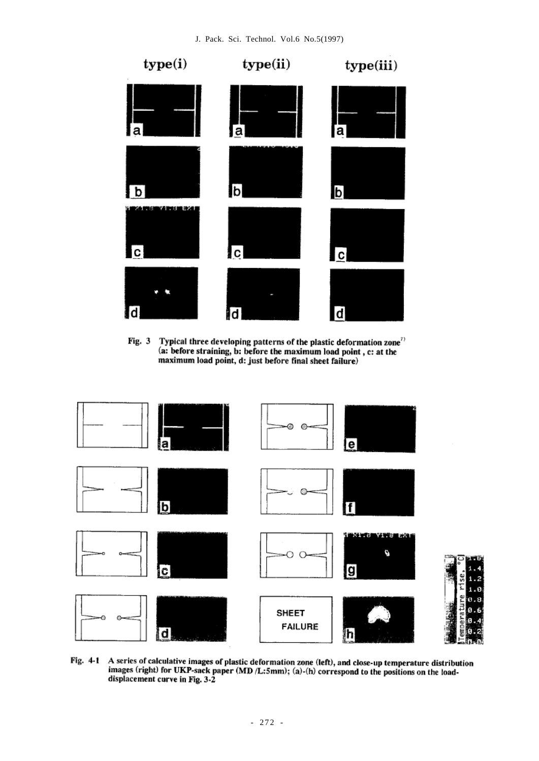

Typical three developing patterns of the plastic deformation zone<sup>?)</sup><br>(a: before straining, b: before the maximum load point, c: at the Fig. 3 maximum load point, d: just before final sheet failure)



A series of calculative images of plastic deformation zone (left), and close-up temperature distribution Fig. 4-1 images (right) for UKP-sack paper (MD /L:5mm); (a)-(h) correspond to the positions on the loaddisplacement curve in Fig. 3-2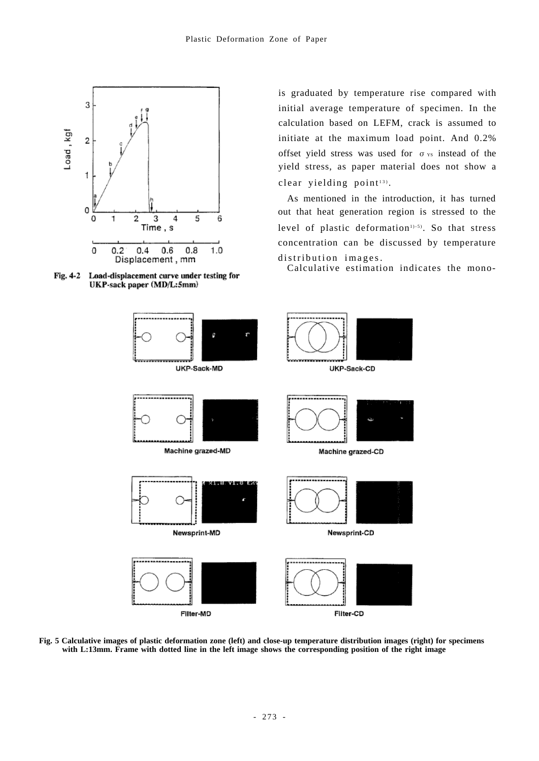



is graduated by temperature rise compared with initial average temperature of specimen. In the calculation based on LEFM, crack is assumed to initiate at the maximum load point. And 0.2% offset yield stress was used for  $\sigma_{YS}$  instead of the yield stress, as paper material does not show a clear yielding  $point<sup>13</sup>$ .

As mentioned in the introduction, it has turned out that heat generation region is stressed to the level of plastic deformation<sup>1)-5)</sup>. So that stress concentration can be discussed by temperature distribution images.

Calculative estimation indicates the mono-



**Fig. 5 Calculative images of plastic deformation zone (left) and close-up temperature distribution images (right) for specimens with L:13mm. Frame with dotted line in the left image shows the corresponding position of the right image**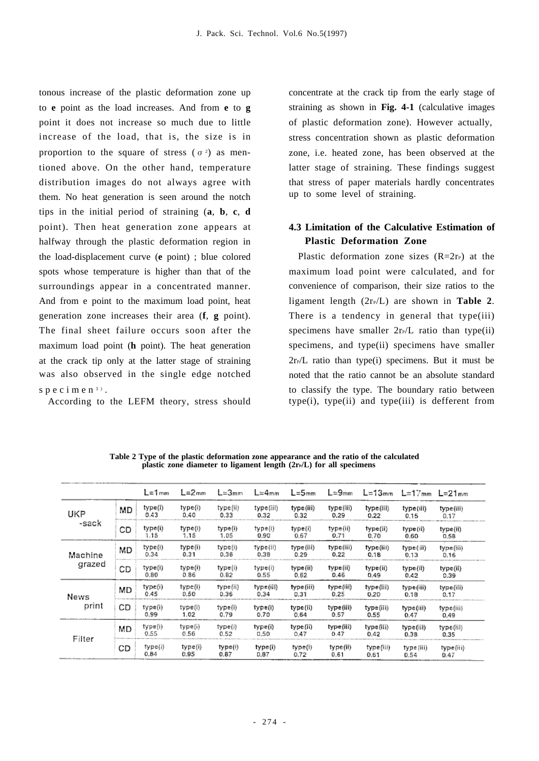tonous increase of the plastic deformation zone up to **e** point as the load increases. And from **e** to **g** point it does not increase so much due to little increase of the load, that is, the size is in proportion to the square of stress  $(\sigma^2)$  as mentioned above. On the other hand, temperature distribution images do not always agree with them. No heat generation is seen around the notch tips in the initial period of straining (**a**, **b**, **c**, **d** point). Then heat generation zone appears at halfway through the plastic deformation region in the load-displacement curve (**e** point) ; blue colored spots whose temperature is higher than that of the surroundings appear in a concentrated manner. And from e point to the maximum load point, heat generation zone increases their area (**f**, **g** point). The final sheet failure occurs soon after the maximum load point (**h** point). The heat generation at the crack tip only at the latter stage of straining was also observed in the single edge notched specimen<sup>3</sup>).

According to the LEFM theory, stress should

concentrate at the crack tip from the early stage of straining as shown in **Fig. 4-1** (calculative images of plastic deformation zone). However actually, stress concentration shown as plastic deformation zone, i.e. heated zone, has been observed at the latter stage of straining. These findings suggest that stress of paper materials hardly concentrates up to some level of straining.

# **4.3 Limitation of the Calculative Estimation of Plastic Deformation Zone**

Plastic deformation zone sizes  $(R=2r<sub>P</sub>)$  at the maximum load point were calculated, and for convenience of comparison, their size ratios to the ligament length  $(2r_P/L)$  are shown in **Table 2**. There is a tendency in general that type(iii) specimens have smaller  $2rP/L$  ratio than type(ii) specimens, and type(ii) specimens have smaller  $2rP/L$  ratio than type(i) specimens. But it must be noted that the ratio cannot be an absolute standard to classify the type. The boundary ratio between  $type(i)$ ,  $type(ii)$  and  $type(iii)$  is defferent from

|              |    | L=1mm           | L=2mm           | $L = 3mm$        | L≒4mm             | $L = 5$ mm        | $L = 9$ mm        | $L = 13$ mm       | L=17mm L=21mm      |                   |
|--------------|----|-----------------|-----------------|------------------|-------------------|-------------------|-------------------|-------------------|--------------------|-------------------|
| UKP<br>-sack | MD | type(i)<br>0.43 | type(i)<br>0.40 | type(ii)<br>0.33 | type(iii)<br>0.32 | type(iii)<br>0.32 | type(iii)<br>0.29 | type(iii)<br>0.22 | type(iii)<br>0.15  | type(iii)<br>0.17 |
|              | CD | type(i)<br>1.15 | type(i)<br>1.15 | type(i)<br>1.05  | type(i)<br>0.90   | type(i)<br>0.67   | type(ii)<br>0.71  | type(ii)<br>0.70  | type(ii)<br>0.60   | type(ii)<br>0.58  |
| Machine      | MD | type(i)<br>0.34 | type(i)<br>0.31 | type(i)<br>0.36  | type(ii)<br>0.38  | type(iii)<br>0.29 | type(iii)<br>0.22 | type(iii)<br>0.18 | type(:ii)<br>0.13  | type(iii)<br>0.16 |
| grazed       | СD | type(i)<br>0.80 | type(i)<br>0.86 | type(i)<br>0.82  | type(i)<br>0.55   | type(ii)<br>0.62  | type(ii)<br>0.46  | type(ii)<br>0.49  | type(ii)<br>0.42   | type(ii)<br>0.39  |
| News         | MD | type(i)<br>0.45 | type(i)<br>0.50 | type(ii)<br>0.36 | type(iii)<br>0.34 | type(iii)<br>0.31 | type(iii)<br>0.25 | type(iii)<br>0.20 | type(iii)<br>0.18  | type(iii)<br>0.17 |
| print        | СD | type(i)<br>0.99 | type(i)<br>1.02 | type(i)<br>0.79  | type(i)<br>0.70   | type(ii)<br>0.64  | type(iii)<br>0.57 | type(iii)<br>0.55 | type(iii)<br>0.47  | type(iii)<br>0.49 |
| Filter       | МD | type(i)<br>0.55 | type(i)<br>0.56 | type(i)<br>0.52  | type(i)<br>0.50   | type(ii)<br>0.47  | type(iii)<br>0.47 | type(iii)<br>0.42 | type(iii)<br>0.38  | type(iii)<br>0.35 |
|              | CD | type(i)<br>0.84 | type(i)<br>0.95 | type(i)<br>0.87  | type(i)<br>0.87   | type(i)<br>0.72   | type(ii)<br>0.61  | type(iii)<br>0.61 | type (iii)<br>0.54 | type{iii)<br>0.47 |

**Table 2 Type of the plastic deformation zone appearance and the ratio of the calculated**  plastic zone diameter to ligament length (2r<sub>P</sub>/L) for all specimens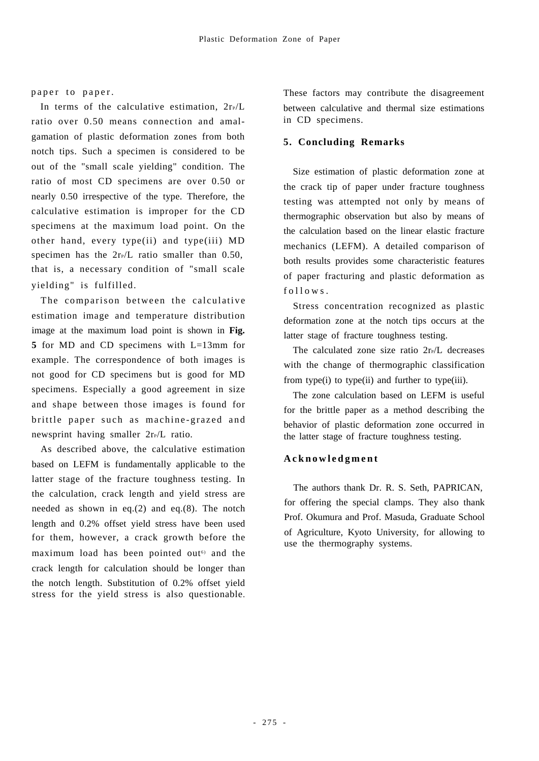#### paper to paper.

In terms of the calculative estimation,  $2r_P/L$ ratio over 0.50 means connection and amalgamation of plastic deformation zones from both notch tips. Such a specimen is considered to be out of the "small scale yielding" condition. The ratio of most CD specimens are over 0.50 or nearly 0.50 irrespective of the type. Therefore, the calculative estimation is improper for the CD specimens at the maximum load point. On the other hand, every type(ii) and type(iii) MD specimen has the  $2r_P/L$  ratio smaller than 0.50, that is, a necessary condition of "small scale yielding" is fulfilled.

The comparison between the calculative estimation image and temperature distribution image at the maximum load point is shown in **Fig. 5** for MD and CD specimens with L=13mm for example. The correspondence of both images is not good for CD specimens but is good for MD specimens. Especially a good agreement in size and shape between those images is found for brittle paper such as machine-grazed and newsprint having smaller  $2rP/L$  ratio.

As described above, the calculative estimation based on LEFM is fundamentally applicable to the latter stage of the fracture toughness testing. In the calculation, crack length and yield stress are needed as shown in eq.(2) and eq.(8). The notch length and 0.2% offset yield stress have been used for them, however, a crack growth before the maximum load has been pointed out<sup> $6$ </sup> and the crack length for calculation should be longer than the notch length. Substitution of 0.2% offset yield stress for the yield stress is also questionable.

These factors may contribute the disagreement between calculative and thermal size estimations in CD specimens.

#### **5. Concluding Remarks**

Size estimation of plastic deformation zone at the crack tip of paper under fracture toughness testing was attempted not only by means of thermographic observation but also by means of the calculation based on the linear elastic fracture mechanics (LEFM). A detailed comparison of both results provides some characteristic features of paper fracturing and plastic deformation as  $f$  o  $l$  l o w s.

Stress concentration recognized as plastic deformation zone at the notch tips occurs at the latter stage of fracture toughness testing.

The calculated zone size ratio  $2rP/L$  decreases with the change of thermographic classification from type(i) to type(ii) and further to type(iii).

The zone calculation based on LEFM is useful for the brittle paper as a method describing the behavior of plastic deformation zone occurred in the latter stage of fracture toughness testing.

#### **A c k n o w l e d g m e n t**

The authors thank Dr. R. S. Seth, PAPRICAN, for offering the special clamps. They also thank Prof. Okumura and Prof. Masuda, Graduate School of Agriculture, Kyoto University, for allowing to use the thermography systems.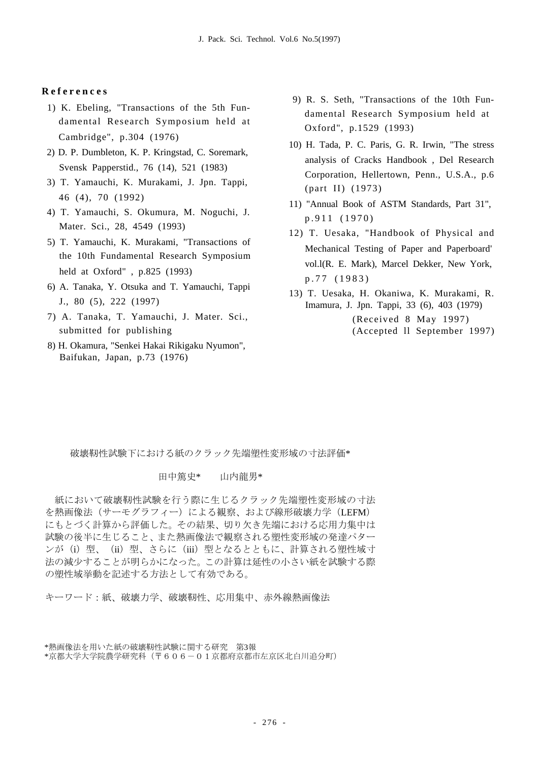#### **R e f e r e n c e s**

- 1) K. Ebeling, "Transactions of the 5th Fundamental Research Symposium held at Cambridge", p.304 (1976)
- 2) D. P. Dumbleton, K. P. Kringstad, C. Soremark, Svensk Papperstid., 76 (14), 521 (1983)
- 3) T. Yamauchi, K. Murakami, J. Jpn. Tappi, 46 (4), 70 (1992)
- 4) T. Yamauchi, S. Okumura, M. Noguchi, J. Mater. Sci., 28, 4549 (1993)
- 5) T. Yamauchi, K. Murakami, "Transactions of the 10th Fundamental Research Symposium held at Oxford" , p.825 (1993)
- 6) A. Tanaka, Y. Otsuka and T. Yamauchi, Tappi J., 80 (5), 222 (1997)
- 7) A. Tanaka, T. Yamauchi, J. Mater. Sci., submitted for publishing
- 8) H. Okamura, "Senkei Hakai Rikigaku Nyumon", Baifukan, Japan, p.73 (1976)
- 9) R. S. Seth, "Transactions of the 10th Fundamental Research Symposium held at Oxford", p.1529 (1993)
- 10) H. Tada, P. C. Paris, G. R. Irwin, "The stress analysis of Cracks Handbook , Del Research Corporation, Hellertown, Penn., U.S.A., p.6 (part II) (1973)
- 11) "Annual Book of ASTM Standards, Part 31", p.911 (1970)
- 12) T. Uesaka, "Handbook of Physical and Mechanical Testing of Paper and Paperboard' vol.l(R. E. Mark), Marcel Dekker, New York, p.77 (1983)
- 13) T. Uesaka, H. Okaniwa, K. Murakami, R. Imamura, J. Jpn. Tappi, 33 (6), 403 (1979) (Received 8 May 1997) (Accepted ll September 1997)

破壊靭性試験下における紙のクラック先端塑性変形域の寸法評価\*

#### 田中篤史\* 山内龍男\*

紙において破壊靭性試験を行う際に生じるクラック先端塑性変形域の寸法 を熱画像法(サーモグラフィー)による観察、および線形破壊力学(LEFM) にもとづく計算から評価した。その結果、切り欠き先端における応用力集中は 試験の後半に生じること、また熱画像法で観察される塑性変形域の発達パター ンが(i)型、(ii)型、さらに(iii)型となるとともに、計算される塑性域寸 法の減少することが明らかになった。この計算は延性の小さい紙を試験する際 の塑性域挙動を記述する方法として有効である。

キーワード:紙、破壊力学、破壊靭性、応用集中、赤外線熱画像法

<sup>\*</sup>熱画像法を用いた紙の破壊靭性試験に関する研究 第3報

<sup>\*</sup>京都大学大学院農学研究科(〒606-01京都府京都市左京区北白川追分町)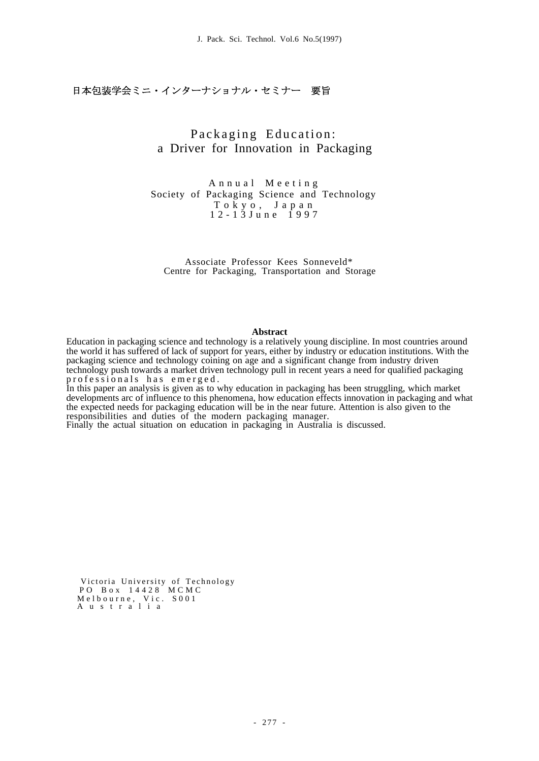# 日本包装学会ミニ・インターナショナル・セミナー 要旨

# Packaging Education: a Driver for Innovation in Packaging

A n n u a l M e e t i n g Society of Packaging Science and Technology T o k y o , J a p a n 1 2 - 1 3 J u n e 1 9 9 7

Associate Professor Kees Sonneveld\* Centre for Packaging, Transportation and Storage

#### **Abstract**

Education in packaging science and technology is a relatively young discipline. In most countries around the world it has suffered of lack of support for years, either by industry or education institutions. With the packaging science and technology coining on age and a significant change from industry driven technology push towards a market driven technology pull in recent years a need for qualified packaging professionals has emerged.

In this paper an analysis is given as to why education in packaging has been struggling, which market developments arc of influence to this phenomena, how education effects innovation in packaging and what the expected needs for packaging education will be in the near future. Attention is also given to the responsibilities and duties of the modern packaging manager.

Finally the actual situation on education in packaging in Australia is discussed.

Victoria University of Technology PO B o x 1 4 4 2 8 M C M C Melbourne, Vic. S001 A u s t r a l i a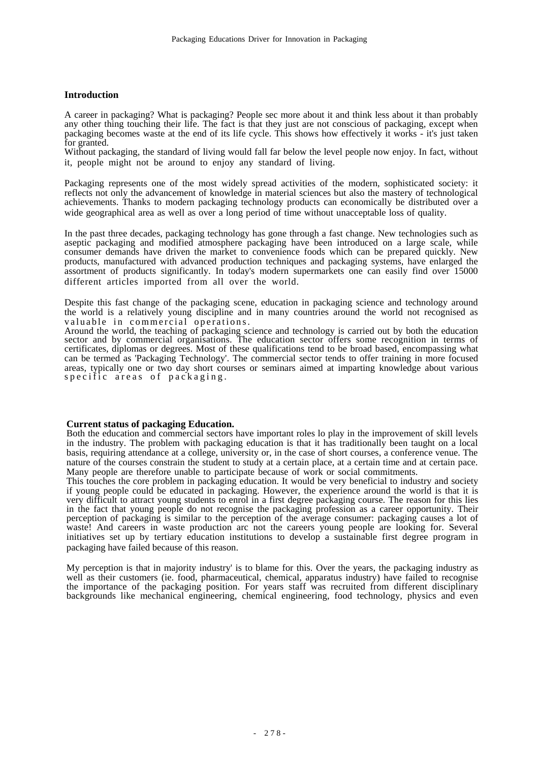#### **Introduction**

A career in packaging? What is packaging? People sec more about it and think less about it than probably any other thing touching their life. The fact is that they just are not conscious of packaging, except when packaging becomes waste at the end of its life cycle. This shows how effectively it works - it's just taken for granted.

Without packaging, the standard of living would fall far below the level people now enjoy. In fact, without it, people might not be around to enjoy any standard of living.

Packaging represents one of the most widely spread activities of the modern, sophisticated society: it reflects not only the advancement of knowledge in material sciences but also the mastery of technological achievements. Thanks to modern packaging technology products can economically be distributed over a wide geographical area as well as over a long period of time without unacceptable loss of quality.

In the past three decades, packaging technology has gone through a fast change. New technologies such as aseptic packaging and modified atmosphere packaging have been introduced on a large scale, while consumer demands have driven the market to convenience foods which can be prepared quickly. New products, manufactured with advanced production techniques and packaging systems, have enlarged the assortment of products significantly. In today's modern supermarkets one can easily find over 15000 different articles imported from all over the world.

Despite this fast change of the packaging scene, education in packaging science and technology around the world is a relatively young discipline and in many countries around the world not recognised as valuable in commercial operations.

Around the world, the teaching of packaging science and technology is carried out by both the education sector and by commercial organisations. The education sector offers some recognition in terms of certificates, diplomas or degrees. Most of these qualifications tend to be broad based, encompassing what can be termed as 'Packaging Technology'. The commercial sector tends to offer training in more focused areas, typically one or two day short courses or seminars aimed at imparting knowledge about various specific areas of packaging.

#### **Current status of packaging Education.**

Both the education and commercial sectors have important roles lo play in the improvement of skill levels in the industry. The problem with packaging education is that it has traditionally been taught on a local basis, requiring attendance at a college, university or, in the case of short courses, a conference venue. The nature of the courses constrain the student to study at a certain place, at a certain time and at certain pace. Many people are therefore unable to participate because of work or social commitments.

This touches the core problem in packaging education. It would be very beneficial to industry and society if young people could be educated in packaging. However, the experience around the world is that it is very difficult to attract young students to enrol in a first degree packaging course. The reason for this lies in the fact that young people do not recognise the packaging profession as a career opportunity. Their perception of packaging is similar to the perception of the average consumer: packaging causes a lot of waste! And careers in waste production arc not the careers young people are looking for. Several initiatives set up by tertiary education institutions to develop a sustainable first degree program in packaging have failed because of this reason.

My perception is that in majority industry' is to blame for this. Over the years, the packaging industry as well as their customers (ie. food, pharmaceutical, chemical, apparatus industry) have failed to recognise the importance of the packaging position. For years staff was recruited from different disciplinary backgrounds like mechanical engineering, chemical engineering, food technology, physics and even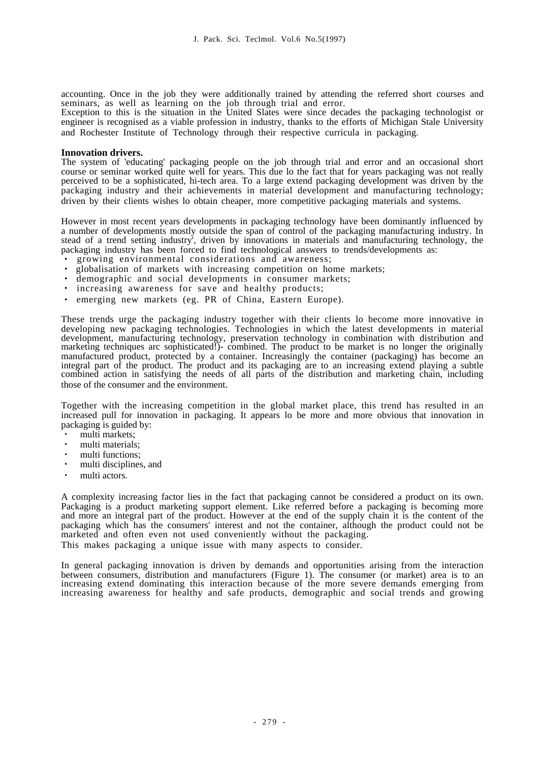accounting. Once in the job they were additionally trained by attending the referred short courses and seminars, as well as learning on the job through trial and error.

Exception to this is the situation in the United Slates were since decades the packaging technologist or engineer is recognised as a viable profession in industry, thanks to the efforts of Michigan Stale University and Rochester Institute of Technology through their respective curricula in packaging.

#### **Innovation drivers.**

The system of 'educating' packaging people on the job through trial and error and an occasional short course or seminar worked quite well for years. This due lo the fact that for years packaging was not really perceived to be a sophisticated, hi-tech area. To a large extend packaging development was driven by the packaging industry and their achievements in material development and manufacturing technology; driven by their clients wishes lo obtain cheaper, more competitive packaging materials and systems.

However in most recent years developments in packaging technology have been dominantly influenced by a number of developments mostly outside the span of control of the packaging manufacturing industry. In stead of a trend setting industry', driven by innovations in materials and manufacturing technology, the packaging industry has been forced to find technological answers to trends/developments as:

- ・ growing environmental considerations and awareness;
- globalisation of markets with increasing competition on home markets;
- demographic and social developments in consumer markets;
- increasing awareness for save and healthy products;
- emerging new markets (eg. PR of China, Eastern Europe).

These trends urge the packaging industry together with their clients lo become more innovative in developing new packaging technologies. Technologies in which the latest developments in material development, manufacturing technology, preservation technology in combination with distribution and marketing techniques arc sophisticated!)- combined. The product to be market is no longer the originally manufactured product, protected by a container. Increasingly the container (packaging) has become an integral part of the product. The product and its packaging are to an increasing extend playing a subtle combined action in satisfying the needs of all parts of the distribution and marketing chain, including those of the consumer and the environment.

Together with the increasing competition in the global market place, this trend has resulted in an increased pull for innovation in packaging. It appears lo be more and more obvious that innovation in packaging is guided by:

- multi markets;
- multi materials:
- multi functions:
- ・ multi disciplines, and
- multi actors.

A complexity increasing factor lies in the fact that packaging cannot be considered a product on its own. Packaging is a product marketing support element. Like referred before a packaging is becoming more and more an integral part of the product. However at the end of the supply chain it is the content of the packaging which has the consumers' interest and not the container, although the product could not be marketed and often even not used conveniently without the packaging. This makes packaging a unique issue with many aspects to consider.

In general packaging innovation is driven by demands and opportunities arising from the interaction

between consumers, distribution and manufacturers (Figure 1). The consumer (or market) area is to an increasing extend dominating this interaction because of the more severe demands emerging from increasing awareness for healthy and safe products, demographic and social trends and growing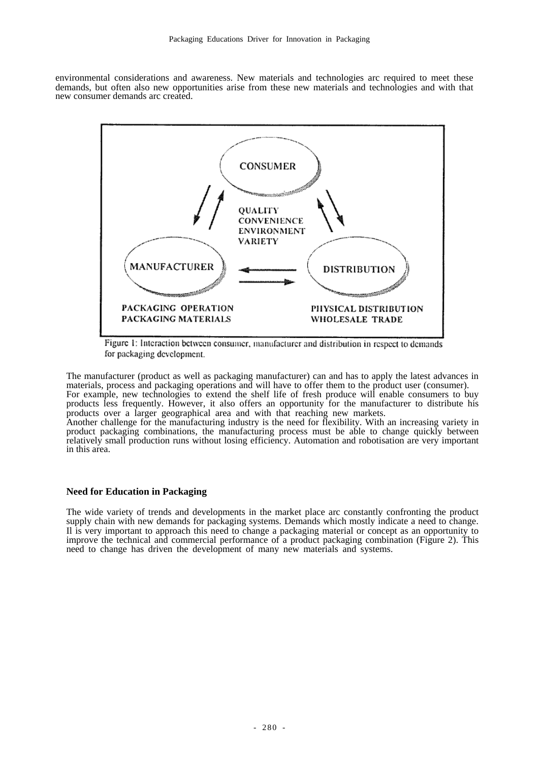environmental considerations and awareness. New materials and technologies arc required to meet these demands, but often also new opportunities arise from these new materials and technologies and with that new consumer demands arc created.



Figure 1: Interaction between consumer, manufacturer and distribution in respect to demands for packaging development.

The manufacturer (product as well as packaging manufacturer) can and has to apply the latest advances in materials, process and packaging operations and will have to offer them to the product user (consumer). For example, new technologies to extend the shelf life of fresh produce will enable consumers to buy products less frequently. However, it also offers an opportunity for the manufacturer to distribute his products over a larger geographical area and with that reaching new markets.

Another challenge for the manufacturing industry is the need for flexibility. With an increasing variety in product packaging combinations, the manufacturing process must be able to change quickly between relatively small production runs without losing efficiency. Automation and robotisation are very important in this area.

#### **Need for Education in Packaging**

The wide variety of trends and developments in the market place arc constantly confronting the product supply chain with new demands for packaging systems. Demands which mostly indicate a need to change. Il is very important to approach this need to change a packaging material or concept as an opportunity to improve the technical and commercial performance of a product packaging combination (Figure 2). This need to change has driven the development of many new materials and systems.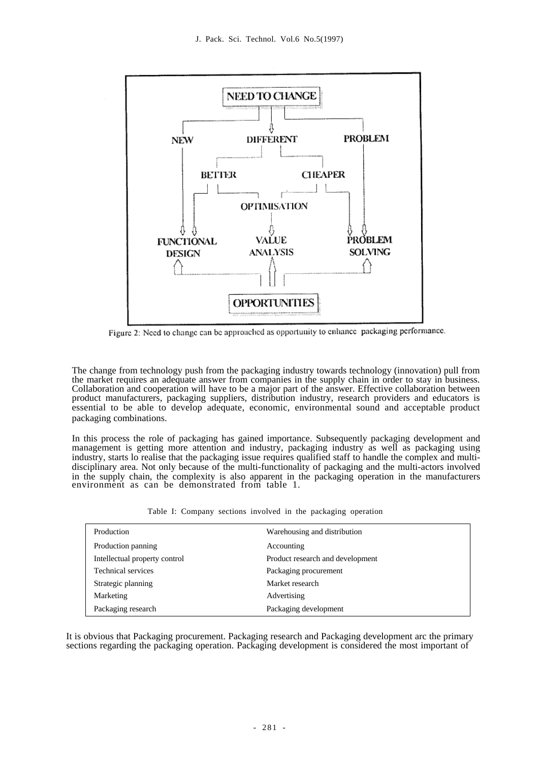

Figure 2: Need to change can be approached as opportunity to enhance packaging performance.

The change from technology push from the packaging industry towards technology (innovation) pull from the market requires an adequate answer from companies in the supply chain in order to stay in business. Collaboration and cooperation will have to be a major part of the answer. Effective collaboration between product manufacturers, packaging suppliers, distribution industry, research providers and educators is essential to be able to develop adequate, economic, environmental sound and acceptable product packaging combinations.

In this process the role of packaging has gained importance. Subsequently packaging development and management is getting more attention and industry, packaging industry as well as packaging using management is industry, starts lo realise that the packaging issue requires qualified staff to handle the complex and multidisciplinary area. Not only because of the multi-functionality of packaging and the multi-actors involved in the supply chain, the complexity is also apparent in the packaging operation in the manufacturers environment as can be demonstrated from table 1.

Table I: Company sections involved in the packaging operation

| Production                    | Warehousing and distribution     |  |
|-------------------------------|----------------------------------|--|
| Production panning            | Accounting                       |  |
| Intellectual property control | Product research and development |  |
| <b>Technical services</b>     | Packaging procurement            |  |
| Strategic planning            | Market research                  |  |
| Marketing                     | Advertising                      |  |
| Packaging research            | Packaging development            |  |

It is obvious that Packaging procurement. Packaging research and Packaging development arc the primary sections regarding the packaging operation. Packaging development is considered the most important of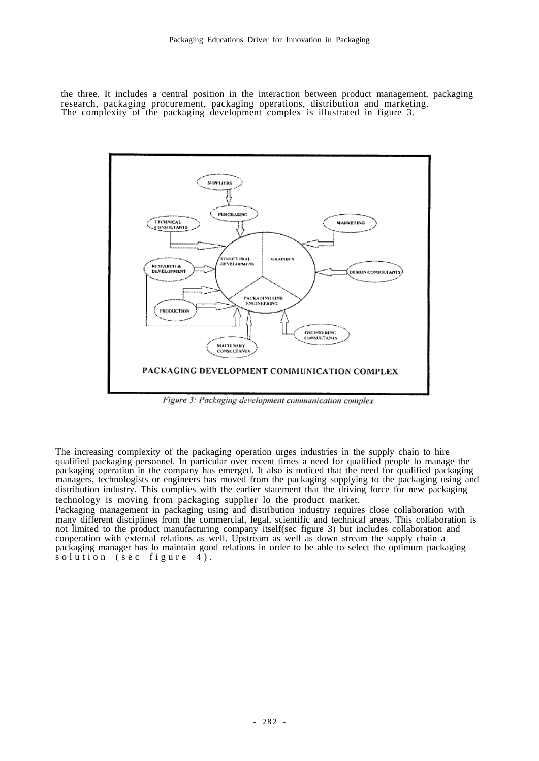the three. It includes a central position in the interaction between product management, packaging research, packaging procurement, packaging operations, distribution and marketing. The complexity of the packaging development complex is illustrated in figure 3.



Figure 3: Packaging development communication complex

The increasing complexity of the packaging operation urges industries in the supply chain to hire qualified packaging personnel. In particular over recent times a need for qualified people lo manage the packaging operation in the company has emerged. It also is noticed that the need for qualified packaging managers, technologists or engineers has moved from the packaging supplying to the packaging using and distribution industry. This complies with the earlier statement that the driving force for new packaging technology is moving from packaging supplier lo the product market.

Packaging management in packaging using and distribution industry requires close collaboration with many different disciplines from the commercial, legal, scientific and technical areas. This collaboration is not limited to the product manufacturing company itself(sec figure 3) but includes collaboration and cooperation with external relations as well. Upstream as well as down stream the supply chain a packaging manager has lo maintain good relations in order to be able to select the optimum packaging  $s$  olution ( $s$ ec figure 4).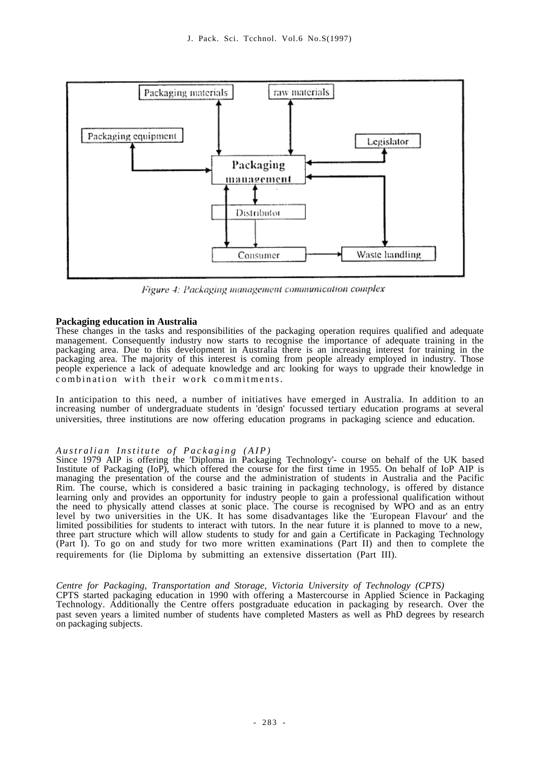

Figure 4: Packaging management communication complex

#### **Packaging education in Australia**

These changes in the tasks and responsibilities of the packaging operation requires qualified and adequate management. Consequently industry now starts to recognise the importance of adequate training in the packaging area. Due to this development in Australia there is an increasing interest for training in the packaging area. The majority of this interest is coming from people already employed in industry. Those people experience a lack of adequate knowledge and arc looking for ways to upgrade their knowledge in combination with their work commitments.

In anticipation to this need, a number of initiatives have emerged in Australia. In addition to an increasing number of undergraduate students in 'design' focussed tertiary education programs at several universities, three institutions are now offering education programs in packaging science and education.

#### *A u s t r a l i a n I n s t i t u t e o f P a c k a g i n g ( A I P )*

Since 1979 AIP is offering the 'Diploma in Packaging Technology'- course on behalf of the UK based Institute of Packaging (IoP), which offered the course for the first time in 1955. On behalf of IoP AIP is managing the presentation of the course and the administration of students in Australia and the Pacific Rim. The course, which is considered a basic training in packaging technology, is offered by distance learning only and provides an opportunity for industry people to gain a professional qualification without the need to physically attend classes at sonic place. The course is recognised by WPO and as an entry level by two universities in the UK. It has some disadvantages like the 'European Flavour' and the limited possibilities for students to interact with tutors. In the near future it is planned to move to a new, three part structure which will allow students to study for and gain a Certificate in Packaging Technology (Part I). To go on and study for two more written examinations (Part II) and then to complete the requirements for (lie Diploma by submitting an extensive dissertation (Part III).

#### *Centre for Packaging, Transportation and Storage, Victoria University of Technology (CPTS)*

CPTS started packaging education in 1990 with offering a Mastercourse in Applied Science in Packaging Technology. Additionally the Centre offers postgraduate education in packaging by research. Over the past seven years a limited number of students have completed Masters as well as PhD degrees by research on packaging subjects.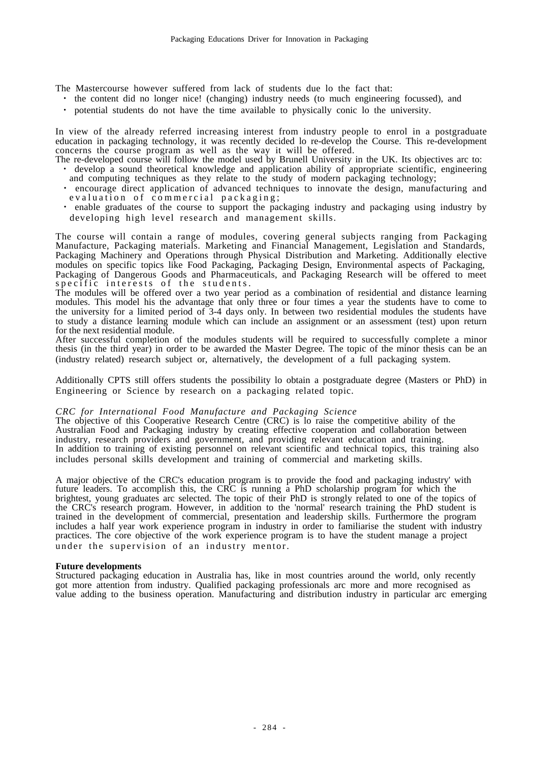The Mastercourse however suffered from lack of students due lo the fact that:

- ・ the content did no longer nice! (changing) industry needs (to much engineering focussed), and
- ・ potential students do not have the time available to physically conic lo the university.

In view of the already referred increasing interest from industry people to enrol in a postgraduate education in packaging technology, it was recently decided lo re-develop the Course. This re-development concerns the course program as well as the way it will be offered.

- The re-developed course will follow the model used by Brunell University in the UK. Its objectives arc to: ・ develop a sound theoretical knowledge and application ability of appropriate scientific, engineering and computing techniques as they relate to the study of modern packaging technology;
	- ・ encourage direct application of advanced techniques to innovate the design, manufacturing and evaluation of commercial packaging;
	- ・ enable graduates of the course to support the packaging industry and packaging using industry by developing high level research and management skills.

The course will contain a range of modules, covering general subjects ranging from Packaging Manufacture, Packaging materials. Marketing and Financial Management, Legislation and Standards, Packaging Machinery and Operations through Physical Distribution and Marketing. Additionally elective modules on specific topics like Food Packaging, Packaging Design, Environmental aspects of Packaging, Packaging of Dangerous Goods and Pharmaceuticals, and Packaging Research will be offered to meet specific interests of the students.

The modules will be offered over a two year period as a combination of residential and distance learning modules. This model his the advantage that only three or four times a year the students have to come to the university for a limited period of 3-4 days only. In between two residential modules the students have to study a distance learning module which can include an assignment or an assessment (test) upon return for the next residential module.

After successful completion of the modules students will be required to successfully complete a minor thesis (in the third year) in order to be awarded the Master Degree. The topic of the minor thesis can be an (industry related) research subject or, alternatively, the development of a full packaging system.

Additionally CPTS still offers students the possibility lo obtain a postgraduate degree (Masters or PhD) in Engineering or Science by research on a packaging related topic.

#### *CRC for International Food Manufacture and Packaging Science*

The objective of this Cooperative Research Centre (CRC) is lo raise the competitive ability of the Australian Food and Packaging industry by creating effective cooperation and collaboration between industry, research providers and government, and providing relevant education and training. In addition to training of existing personnel on relevant scientific and technical topics, this training also includes personal skills development and training of commercial and marketing skills.

A major objective of the CRC's education program is to provide the food and packaging industry' with future leaders. To accomplish this, the CRC is running a PhD scholarship program for which the brightest, young graduates arc selected. The topic of their PhD is strongly related to one of the topics of the CRC's research program. However, in addition to the 'normal' research training the PhD student is trained in the development of commercial, presentation and leadership skills. Furthermore the program includes a half year work experience program in industry in order to familiarise the student with industry practices. The core objective of the work experience program is to have the student manage a project under the supervision of an industry mentor.

#### **Future developments**

Structured packaging education in Australia has, like in most countries around the world, only recently got more attention from industry. Qualified packaging professionals arc more and more recognised as value adding to the business operation. Manufacturing and distribution industry in particular arc emerging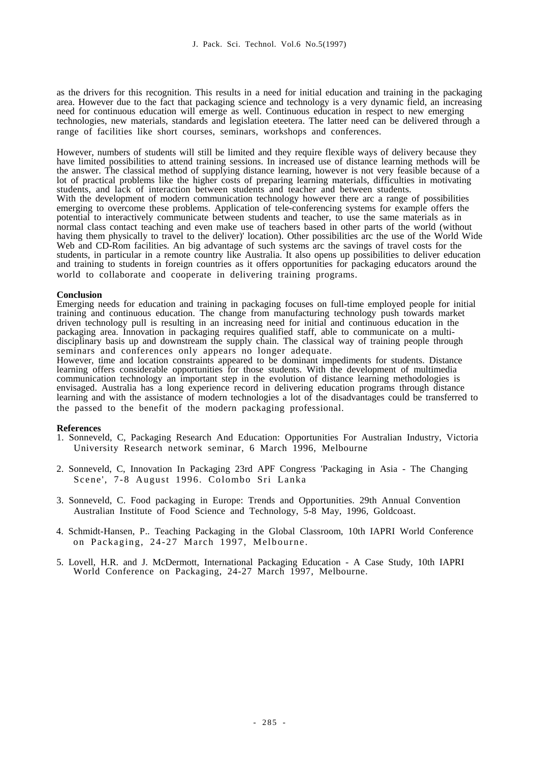as the drivers for this recognition. This results in a need for initial education and training in the packaging area. However due to the fact that packaging science and technology is a very dynamic field, an increasing need for continuous education will emerge as well. Continuous education in respect to new emerging technologies, new materials, standards and legislation eteetera. The latter need can be delivered through a range of facilities like short courses, seminars, workshops and conferences.

However, numbers of students will still be limited and they require flexible ways of delivery because they have limited possibilities to attend training sessions. In increased use of distance learning methods will be the answer. The classical method of supplying distance learning, however is not very feasible because of a lot of practical problems like the higher costs of preparing learning materials, difficulties in motivating students, and lack of interaction between students and teacher and between students. With the development of modern communication technology however there arc a range of possibilities emerging to overcome these problems. Application of tele-conferencing systems for example offers the potential to interactively communicate between students and teacher, to use the same materials as in normal class contact teaching and even make use of teachers based in other parts of the world (without having them physically to travel to the deliver)' location). Other possibilities arc the use of the World Wide Web and CD-Rom facilities. An big advantage of such systems arc the savings of travel costs for the students, in particular in a remote country like Australia. It also opens up possibilities to deliver education and training to students in foreign countries as it offers opportunities for packaging educators around the world to collaborate and cooperate in delivering training programs.

#### **Conclusion**

Emerging needs for education and training in packaging focuses on full-time employed people for initial training and continuous education. The change from manufacturing technology push towards market driven technology pull is resulting in an increasing need for initial and continuous education in the packaging area. Innovation in packaging requires qualified staff, able to communicate on a multidisciplinary basis up and downstream the supply chain. The classical way of training people through seminars and conferences only appears no longer adequate.

However, time and location constraints appeared to be dominant impediments for students. Distance learning offers considerable opportunities for those students. With the development of multimedia communication technology an important step in the evolution of distance learning methodologies is envisaged. Australia has a long experience record in delivering education programs through distance learning and with the assistance of modern technologies a lot of the disadvantages could be transferred to the passed to the benefit of the modern packaging professional.

#### **References**

- 1. Sonneveld, C, Packaging Research And Education: Opportunities For Australian Industry, Victoria University Research network seminar, 6 March 1996, Melbourne
- 2. Sonneveld, C, Innovation In Packaging 23rd APF Congress 'Packaging in Asia The Changing Scene', 7-8 August 1996. Colombo Sri Lanka
- 3. Sonneveld, C. Food packaging in Europe: Trends and Opportunities. 29th Annual Convention Australian Institute of Food Science and Technology, 5-8 May, 1996, Goldcoast.
- 4. Schmidt-Hansen, P.. Teaching Packaging in the Global Classroom, 10th IAPRI World Conference on Packaging, 24-27 March 1997, Melbourne.
- 5. Lovell, H.R. and J. McDermott, International Packaging Education A Case Study, 10th IAPRI World Conference on Packaging, 24-27 March 1997, Melbourne.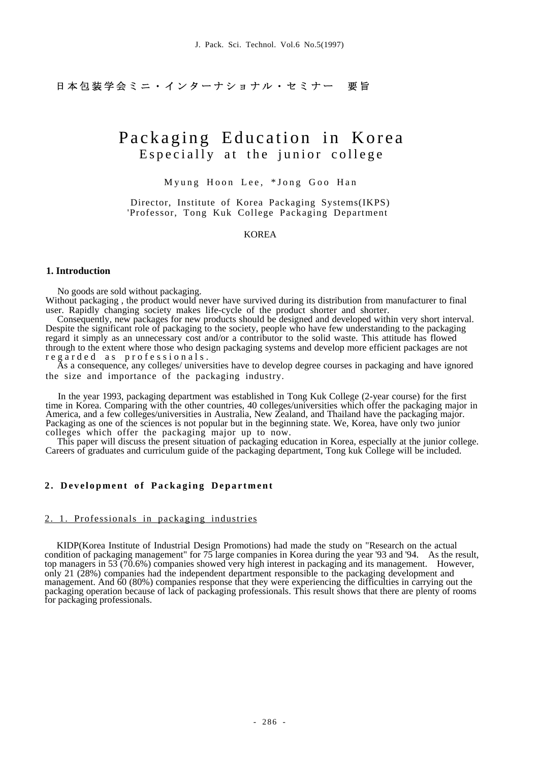日本包装学会ミニ・インターナショナル・セミナー 要旨

# Packaging Education in Korea Especially at the junior college

Myung Hoon Lee, \*Jong Goo Han

Director, Institute of Korea Packaging Systems(IKPS) 'Professor, Tong Kuk College Packaging Department

KOREA

#### **1. Introduction**

No goods are sold without packaging.

Without packaging , the product would never have survived during its distribution from manufacturer to final user. Rapidly changing society makes life-cycle of the product shorter and shorter.

Consequently, new packages for new products should be designed and developed within very short interval. Despite the significant role of packaging to the society, people who have few understanding to the packaging regard it simply as an unnecessary cost and/or a contributor to the solid waste. This attitude has flowed through to the extent where those who design packaging systems and develop more efficient packages are not r e g a r d e d as professionals.

As a consequence, any colleges/ universities have to develop degree courses in packaging and have ignored the size and importance of the packaging industry.

In the year 1993, packaging department was established in Tong Kuk College (2-year course) for the first time in Korea. Comparing with the other countries, 40 colleges/universities which offer the packaging major in America, and a few colleges/universities in Australia, New Zealand, and Thailand have the packaging major. Packaging as one of the sciences is not popular but in the beginning state. We, Korea, have only two junior colleges which offer the packaging major up to now.

This paper will discuss the present situation of packaging education in Korea, especially at the junior college. Careers of graduates and curriculum guide of the packaging department, Tong kuk College will be included.

#### 2. Development of Packaging Department

#### 2. 1. Professionals in packaging industries

KIDP(Korea Institute of Industrial Design Promotions) had made the study on "Research on the actual condition of packaging management" for 75 large companies in Korea during the year '93 and '94. As the result, top managers in 53 (70.6%) companies showed very high interest in packaging and its management. However, only 21 (28%) companies had the independent department responsible to the packaging development and management. And 60 (80%) companies response that they were experiencing the difficulties in carrying out the packaging operation because of lack of packaging professionals. This result shows that there are plenty of rooms for packaging professionals.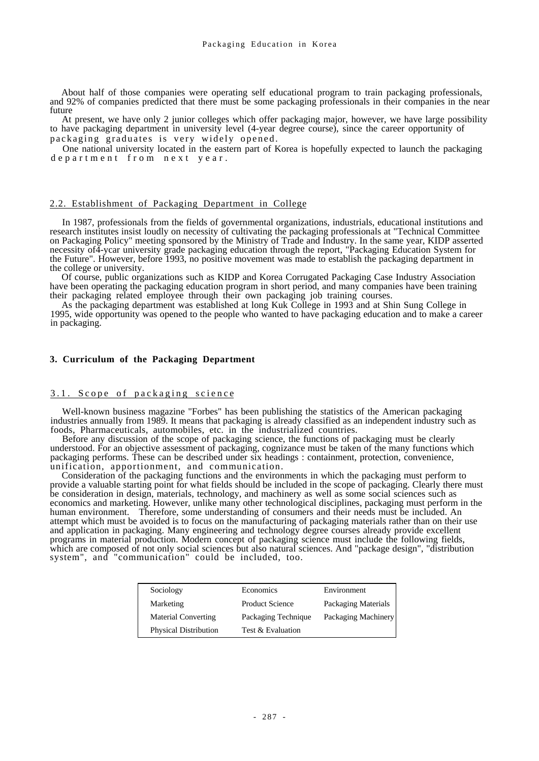About half of those companies were operating self educational program to train packaging professionals, and 92% of companies predicted that there must be some packaging professionals in their companies in the near future

At present, we have only 2 junior colleges which offer packaging major, however, we have large possibility to have packaging department in university level (4-year degree course), since the career opportunity of packaging graduates is very widely opened.

One national university located in the eastern part of Korea is hopefully expected to launch the packaging department from next year.

#### 2.2. Establishment of Packaging Department in College

In 1987, professionals from the fields of governmental organizations, industrials, educational institutions and research institutes insist loudly on necessity of cultivating the packaging professionals at "Technical Committee on Packaging Policy" meeting sponsored by the Ministry of Trade and Industry. In the same year, KIDP asserted necessity of4-ycar university grade packaging education through the report, "Packaging Education System for the Future". However, before 1993, no positive movement was made to establish the packaging department in the college or university.

Of course, public organizations such as KIDP and Korea Corrugated Packaging Case Industry Association have been operating the packaging education program in short period, and many companies have been training their packaging related employee through their own packaging job training courses.

As the packaging department was established at long Kuk College in 1993 and at Shin Sung College in 1995, wide opportunity was opened to the people who wanted to have packaging education and to make a career in packaging.

#### **3. Curriculum of the Packaging Department**

#### 3.1. Scope of packaging science

Well-known business magazine "Forbes" has been publishing the statistics of the American packaging industries annually from 1989. It means that packaging is already classified as an independent industry such as foods, Pharmaceuticals, automobiles, etc. in the industrialized countries.

Before any discussion of the scope of packaging science, the functions of packaging must be clearly understood. For an objective assessment of packaging, cognizance must be taken of the many functions which packaging performs. These can be described under six headings : containment, protection, convenience, unification, apportionment, and communication.

Consideration of the packaging functions and the environments in which the packaging must perform to provide a valuable starting point for what fields should be included in the scope of packaging. Clearly there must be consideration in design, materials, technology, and machinery as well as some social sciences such as economics and marketing. However, unlike many other technological disciplines, packaging must perform in the human environment. Therefore, some understanding of consumers and their needs must be included. An attempt which must be avoided is to focus on the manufacturing of packaging materials rather than on their use and application in packaging. Many engineering and technology degree courses already provide excellent programs in material production. Modern concept of packaging science must include the following fields, which are composed of not only social sciences but also natural sciences. And "package design", "distribution system", and "communication" could be included, too.

| Sociology                    | Economics              | Environment         |
|------------------------------|------------------------|---------------------|
| Marketing                    | <b>Product Science</b> | Packaging Materials |
| <b>Material Converting</b>   | Packaging Technique    | Packaging Machinery |
| <b>Physical Distribution</b> | Test & Evaluation      |                     |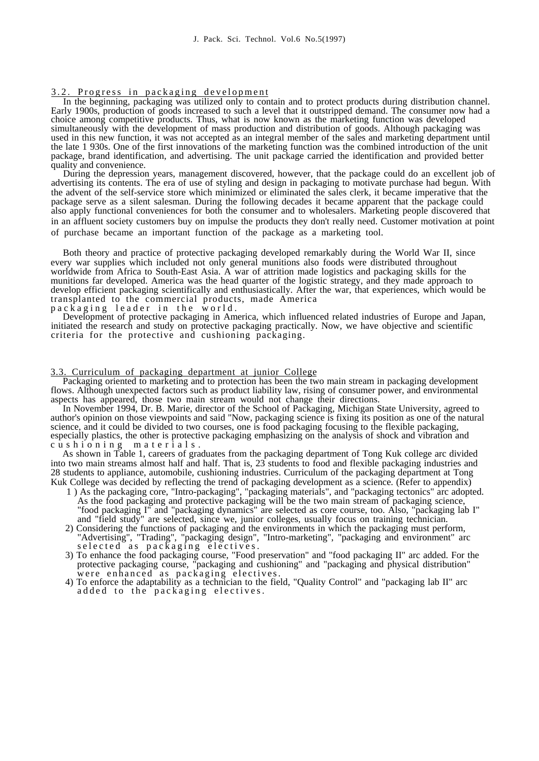## 3.2. Progress in packaging development

In the beginning, packaging was utilized only to contain and to protect products during distribution channel. Early 1900s, production of goods increased to such a level that it outstripped demand. The consumer now had a choice among competitive products. Thus, what is now known as the marketing function was developed simultaneously with the development of mass production and distribution of goods. Although packaging was used in this new function, it was not accepted as an integral member of the sales and marketing department until the late 1 930s. One of the first innovations of the marketing function was the combined introduction of the unit package, brand identification, and advertising. The unit package carried the identification and provided better quality and convenience.

During the depression years, management discovered, however, that the package could do an excellent job of advertising its contents. The era of use of styling and design in packaging to motivate purchase had begun. With the advent of the self-service store which minimized or eliminated the sales clerk, it became imperative that the package serve as a silent salesman. During the following decades it became apparent that the package could also apply functional conveniences for both the consumer and to wholesalers. Marketing people discovered that in an affluent society customers buy on impulse the products they don't really need. Customer motivation at point of purchase became an important function of the package as a marketing tool.

Both theory and practice of protective packaging developed remarkably during the World War II, since every war supplies which included not only general munitions also foods were distributed throughout worldwide from Africa to South-East Asia. A war of attrition made logistics and packaging skills for the munitions far developed. America was the head quarter of the logistic strategy, and they made approach to develop efficient packaging scientifically and enthusiastically. After the war, that experiences, which would be transplanted to the commercial products, made America packaging leader in the world.

Development of protective packaging in America, which influenced related industries of Europe and Japan, initiated the research and study on protective packaging practically. Now, we have objective and scientific criteria for the protective and cushioning packaging.

#### 3.3. Curriculum of packaging department at junior College

Packaging oriented to marketing and to protection has been the two main stream in packaging development flows. Although unexpected factors such as product liability law, rising of consumer power, and environmental aspects has appeared, those two main stream would not change their directions.

In November 1994, Dr. B. Marie, director of the School of Packaging, Michigan State University, agreed to author's opinion on those viewpoints and said "Now, packaging science is fixing its position as one of the natural science, and it could be divided to two courses, one is food packaging focusing to the flexible packaging, especially plastics, the other is protective packaging emphasizing on the analysis of shock and vibration and c u s h i o n i n g m a t e r i a l s .

As shown in Table 1, careers of graduates from the packaging department of Tong Kuk college arc divided into two main streams almost half and half. That is, 23 students to food and flexible packaging industries and 28 students to appliance, automobile, cushioning industries. Curriculum of the packaging department at Tong Kuk College was decided by reflecting the trend of packaging development as a science. (Refer to appendix)

- 1 ) As the packaging core, "Intro-packaging", "packaging materials", and "packaging tectonics" arc adopted. As the food packaging and protective packaging will be the two main stream of packaging science, "food packaging I" and "packaging dynamics" are selected as core course, too. Also, "packaging lab I" and "field study" are selected, since we, junior colleges, usually focus on training technician.
- 2) Considering the functions of packaging and the environments in which the packaging must perform, "Advertising", "Trading", "packaging design", "Intro-marketing", "packaging and environment" arc selected as packaging electives.
- 3) To enhance the food packaging course, "Food preservation" and "food packaging II" arc added. For the protective packaging course, "packaging and cushioning" and "packaging and physical distribution" were enhanced as packaging electives.
- 4) To enforce the adaptability as a technician to the field, "Quality Control" and "packaging lab II" arc added to the packaging electives.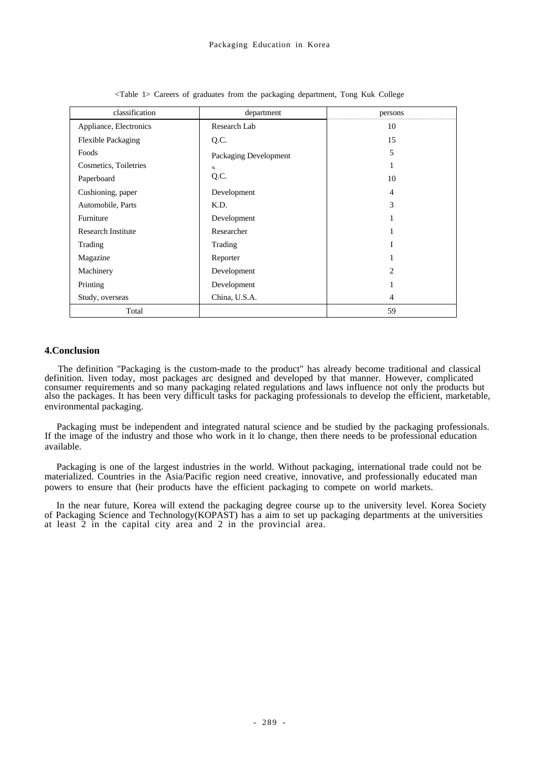| classification            | department            | persons        |
|---------------------------|-----------------------|----------------|
| Appliance, Electronics    | Research Lab          | 10             |
| <b>Flexible Packaging</b> | Q.C.                  | 15             |
| Foods                     | Packaging Development | 5              |
| Cosmetics, Toiletries     | W                     | 1              |
| Paperboard                | Q.C.                  | 10             |
| Cushioning, paper         | Development           | 4              |
| Automobile, Parts         | K.D.                  | 3              |
| Furniture                 | Development           |                |
| <b>Research Institute</b> | Researcher            |                |
| Trading                   | Trading               | I              |
| Magazine                  | Reporter              |                |
| Machinery                 | Development           | $\overline{c}$ |
| Printing                  | Development           |                |
| Study, overseas           | China, U.S.A.         | 4              |
| Total                     |                       | 59             |

<Table 1> Careers of graduates from the packaging department, Tong Kuk College

#### **4.Conclusion**

The definition "Packaging is the custom-made to the product" has already become traditional and classical definition. liven today, most packages arc designed and developed by that manner. However, complicated consumer requirements and so many packaging related regulations and laws influence not only the products but also the packages. It has been very difficult tasks for packaging professionals to develop the efficient, marketable, environmental packaging.

Packaging must be independent and integrated natural science and be studied by the packaging professionals. If the image of the industry and those who work in it lo change, then there needs to be professional education available.

Packaging is one of the largest industries in the world. Without packaging, international trade could not be materialized. Countries in the Asia/Pacific region need creative, innovative, and professionally educated man powers to ensure that (heir products have the efficient packaging to compete on world markets.

In the near future, Korea will extend the packaging degree course up to the university level. Korea Society of Packaging Science and Technology(KOPAST) has a aim to set up packaging departments at the universities at least 2 in the capital city area and 2 in the provincial area.